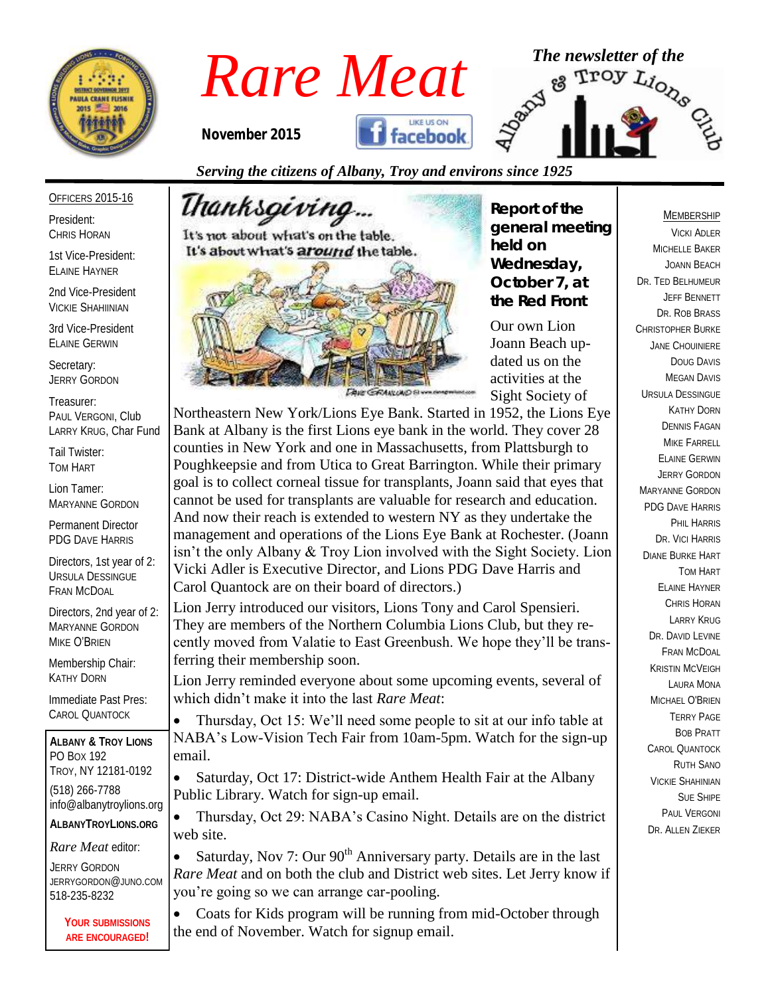

*Rare Meat* The newsletter of the Rare Meat of the stroy  $L_{i_{O_{R_{\circ}}}}$  and  $L_{i_{O_{R_{\circ}}}}$ 

*November 2015*



*Serving the citizens of Albany, Troy and environs since 1925*

OFFICERS 2015-16

President: CHRIS HORAN

1st Vice-President: ELAINE HAYNER

2nd Vice-President VICKIE SHAHIINIAN

3rd Vice-President ELAINE GERWIN

Secretary: JERRY GORDON

Treasurer: PAUL VERGONI, Club LARRY KRUG, Char Fund

Tail Twister: TOM HART

Lion Tamer: MARYANNE GORDON

Permanent Director PDG DAVE HARRIS

Directors, 1st year of 2: URSULA DESSINGUE FRAN MCDOAL

Directors, 2nd year of 2: MARYANNE GORDON MIKE O'BRIEN

Membership Chair: KATHY DORN

Immediate Past Pres: CAROL QUANTOCK

**ALBANY & TROY LIONS** PO BOX 192 TROY, NY 12181-0192 (518) 266-7788 info@albanytroylions.org **ALBANYTROYLIONS.ORG**

*Rare Meat* editor:

JERRY GORDON JERRYGORDON@JUNO.COM 518-235-8232

> **YOUR SUBMISSIONS ARE ENCOURAGED!**

Thanksgi*vin*g... It's not about what's on the table. It's about what's around the table.



*Report of the general meeting held on Wednesday, October 7, at the Red Front* 

Our own Lion Joann Beach updated us on the activities at the Sight Society of

Northeastern New York/Lions Eye Bank. Started in 1952, the Lions Eye Bank at Albany is the first Lions eye bank in the world. They cover 28 counties in New York and one in Massachusetts, from Plattsburgh to Poughkeepsie and from Utica to Great Barrington. While their primary goal is to collect corneal tissue for transplants, Joann said that eyes that cannot be used for transplants are valuable for research and education. And now their reach is extended to western NY as they undertake the management and operations of the Lions Eye Bank at Rochester. (Joann isn't the only Albany & Troy Lion involved with the Sight Society. Lion Vicki Adler is Executive Director, and Lions PDG Dave Harris and Carol Quantock are on their board of directors.)

Lion Jerry introduced our visitors, Lions Tony and Carol Spensieri. They are members of the Northern Columbia Lions Club, but they recently moved from Valatie to East Greenbush. We hope they'll be transferring their membership soon.

Lion Jerry reminded everyone about some upcoming events, several of which didn't make it into the last *Rare Meat*:

 Thursday, Oct 15: We'll need some people to sit at our info table at NABA's Low-Vision Tech Fair from 10am-5pm. Watch for the sign-up email.

• Saturday, Oct 17: District-wide Anthem Health Fair at the Albany Public Library. Watch for sign-up email.

• Thursday, Oct 29: NABA's Casino Night. Details are on the district web site.

Saturday, Nov 7: Our  $90<sup>th</sup>$  Anniversary party. Details are in the last *Rare Meat* and on both the club and District web sites. Let Jerry know if you're going so we can arrange car-pooling.

• Coats for Kids program will be running from mid-October through the end of November. Watch for signup email.

#### MEMBERSHIP

VICKI ADLER MICHELLE BAKER JOANN BEACH DR. TED BELHUMEUR JEFF BENNETT DR. ROB BRASS CHRISTOPHER BURKE JANE CHOUINIERE DOUG DAVIS MEGAN DAVIS URSULA DESSINGUE KATHY DORN DENNIS FAGAN MIKE FARRELL ELAINE GERWIN JERRY GORDON MARYANNE GORDON PDG DAVE HARRIS PHIL HARRIS DR. VICI HARRIS DIANE BURKE HART TOM HART ELAINE HAYNER CHRIS HORAN LARRY KRUG DR. DAVID I FVINE FRAN MCDOAL KRISTIN MCVEIGH LAURA MONA MICHAEL O'BRIEN TERRY PAGE BOB PRATT CAROL QUANTOCK RUTH SANO VICKIE SHAHINIAN SUE SHIPE PAUL VERGONI DR. ALLEN ZIEKER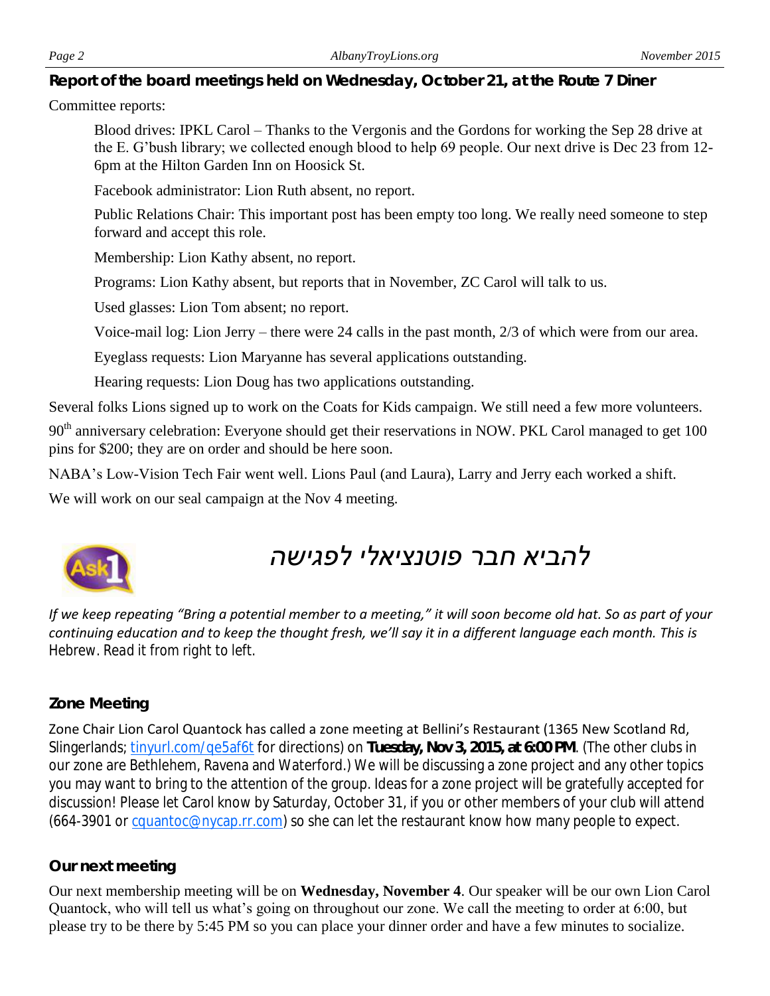*Report of the board meetings held on Wednesday, October 21, at the Route 7 Diner* 

#### Committee reports:

Blood drives: IPKL Carol – Thanks to the Vergonis and the Gordons for working the Sep 28 drive at the E. G'bush library; we collected enough blood to help 69 people. Our next drive is Dec 23 from 12- 6pm at the Hilton Garden Inn on Hoosick St.

Facebook administrator: Lion Ruth absent, no report.

Public Relations Chair: This important post has been empty too long. We really need someone to step forward and accept this role.

Membership: Lion Kathy absent, no report.

Programs: Lion Kathy absent, but reports that in November, ZC Carol will talk to us.

Used glasses: Lion Tom absent; no report.

Voice-mail log: Lion Jerry – there were 24 calls in the past month, 2/3 of which were from our area.

Eyeglass requests: Lion Maryanne has several applications outstanding.

Hearing requests: Lion Doug has two applications outstanding.

Several folks Lions signed up to work on the Coats for Kids campaign. We still need a few more volunteers.

90<sup>th</sup> anniversary celebration: Everyone should get their reservations in NOW. PKL Carol managed to get 100 pins for \$200; they are on order and should be here soon.

NABA's Low-Vision Tech Fair went well. Lions Paul (and Laura), Larry and Jerry each worked a shift.

We will work on our seal campaign at the Nov 4 meeting.



# *להביא חבר פוטנציאלי לפגישה*

*If we keep repeating "Bring a potential member to a meeting," it will soon become old hat. So as part of your continuing education and to keep the thought fresh, we'll say it in a different language each month. This is Hebrew. Read it from right to left.*

#### *Zone Meeting*

Zone Chair Lion Carol Quantock has called a zone meeting at Bellini's Restaurant (1365 New Scotland Rd, Slingerlands; [tinyurl.com/qe5af6t](http://tinyurl.com/qe5af6t) for directions) on **Tuesday, Nov 3, 2015, at 6:00 PM**. (The other clubs in our zone are Bethlehem, Ravena and Waterford.) We will be discussing a zone project and any other topics you may want to bring to the attention of the group. Ideas for a zone project will be gratefully accepted for discussion! Please let Carol know by Saturday, October 31, if you or other members of your club will attend (664-3901 or [cquantoc@nycap.rr.com\)](mailto:cquantoc@nycap.rr.com) so she can let the restaurant know how many people to expect.

#### *Our next meeting*

Our next membership meeting will be on **Wednesday, November 4**. Our speaker will be our own Lion Carol Quantock, who will tell us what's going on throughout our zone. We call the meeting to order at 6:00, but please try to be there by 5:45 PM so you can place your dinner order and have a few minutes to socialize.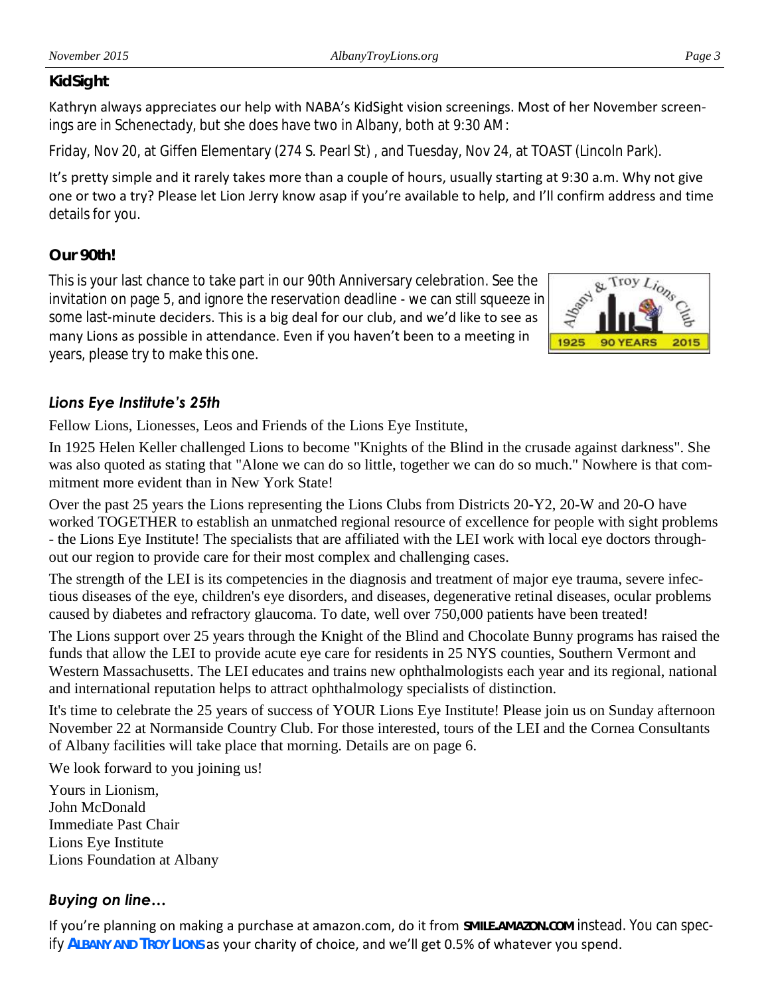#### *KidSight*

Kathryn always appreciates our help with NABA's KidSight vision screenings. Most of her November screenings are in Schenectady, but she does have two in Albany, both at 9:30 AM:

Friday, Nov 20, at Giffen Elementary (274 S. Pearl St) , and Tuesday, Nov 24, at TOAST (Lincoln Park).

It's pretty simple and it rarely takes more than a couple of hours, usually starting at 9:30 a.m. Why not give one or two a try? Please let Lion Jerry know asap if you're available to help, and I'll confirm address and time details for you.

### *Our 90th!*

This is your last chance to take part in our 90th Anniversary celebration. See the invitation on page 5, and ignore the reservation deadline - we can still squeeze in some last-minute deciders. This is a big deal for our club, and we'd like to see as many Lions as possible in attendance. Even if you haven't been to a meeting in years, please try to make this one.



# *Lions Eye Institute's 25th*

Fellow Lions, Lionesses, Leos and Friends of the Lions Eye Institute,

In 1925 Helen Keller challenged Lions to become "Knights of the Blind in the crusade against darkness". She was also quoted as stating that "Alone we can do so little, together we can do so much." Nowhere is that commitment more evident than in New York State!

Over the past 25 years the Lions representing the Lions Clubs from Districts 20-Y2, 20-W and 20-O have worked TOGETHER to establish an unmatched regional resource of excellence for people with sight problems - the Lions Eye Institute! The specialists that are affiliated with the LEI work with local eye doctors throughout our region to provide care for their most complex and challenging cases.

The strength of the LEI is its competencies in the diagnosis and treatment of major eye trauma, severe infectious diseases of the eye, children's eye disorders, and diseases, degenerative retinal diseases, ocular problems caused by diabetes and refractory glaucoma. To date, well over 750,000 patients have been treated!

The Lions support over 25 years through the Knight of the Blind and Chocolate Bunny programs has raised the funds that allow the LEI to provide acute eye care for residents in 25 NYS counties, Southern Vermont and Western Massachusetts. The LEI educates and trains new ophthalmologists each year and its regional, national and international reputation helps to attract ophthalmology specialists of distinction.

It's time to celebrate the 25 years of success of YOUR Lions Eye Institute! Please join us on Sunday afternoon November 22 at Normanside Country Club. For those interested, tours of the LEI and the Cornea Consultants of Albany facilities will take place that morning. Details are on page 6.

We look forward to you joining us!

Yours in Lionism, John McDonald Immediate Past Chair Lions Eye Institute Lions Foundation at Albany

## *Buying on line…*

If you're planning on making a purchase at amazon.com, do it from **SMILE.AMAZON.COM** instead. You can specify **ALBANY AND TROY LIONS** as your charity of choice, and we'll get 0.5% of whatever you spend.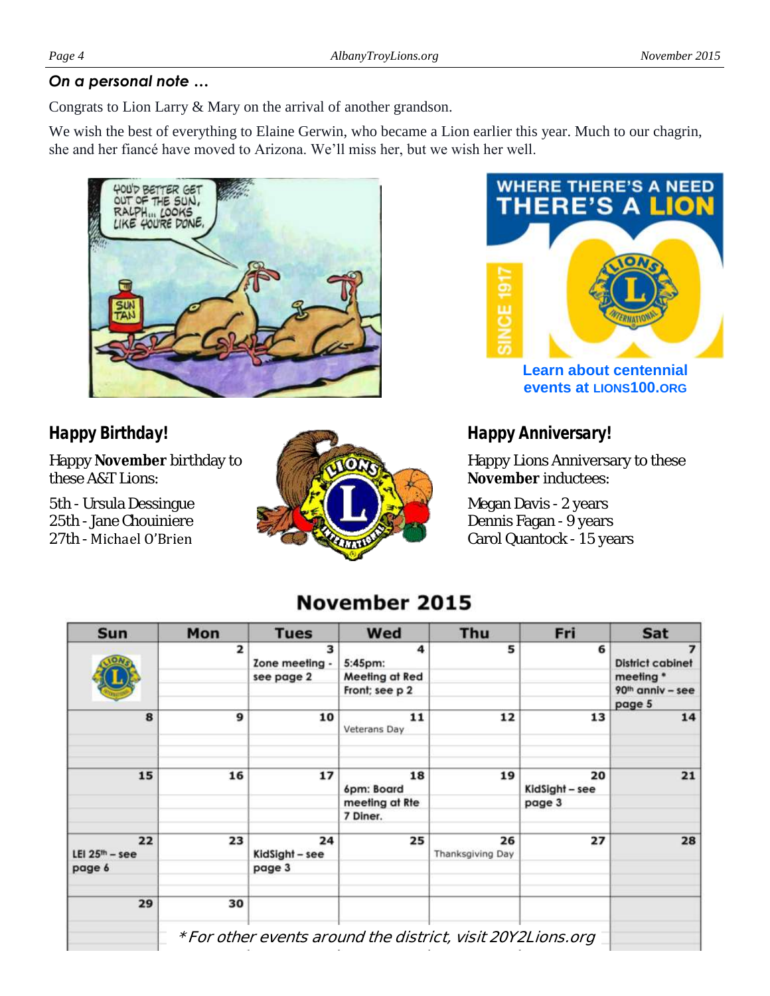#### *On a personal note …*

Congrats to Lion Larry & Mary on the arrival of another grandson.

We wish the best of everything to Elaine Gerwin, who became a Lion earlier this year. Much to our chagrin, she and her fiancé have moved to Arizona. We'll miss her, but we wish her well.



# *Happy Birthday!*

Happy **November** birthday to these A&T Lions:

5th - Ursula Dessingue 25th - Jane Chouiniere 27th - Michael O'Brien





**events at LIONS100.ORG**

# *Happy Anniversary!*

Happy Lions Anniversary to these **November** inductees:

Megan Davis - 2 years Dennis Fagan - 9 years Carol Quantock - 15 years

# November 2015

| <b>Sun</b>             | Mon                     | <b>Tues</b>          | Wed                                                         | Thu                    | Fri                  | Sat                          |
|------------------------|-------------------------|----------------------|-------------------------------------------------------------|------------------------|----------------------|------------------------------|
|                        | $\overline{\mathbf{z}}$ | 3<br>Zone meeting -  | 4<br>5:45pm:                                                | 5                      | 6                    | 7<br><b>District cabinet</b> |
|                        |                         | see page 2           | <b>Meeting at Red</b>                                       |                        |                      | meeting *                    |
|                        |                         |                      | Front; see p 2                                              |                        |                      | 90 <sup>th</sup> anniv - see |
|                        |                         |                      |                                                             |                        |                      | page 5                       |
| 8                      | 9                       | 10                   | 11<br>Veterans Day                                          | 12                     | 13                   | 14                           |
|                        |                         |                      |                                                             |                        |                      |                              |
| 15                     | 16                      | 17                   | 18<br>6pm: Board                                            | 19                     | 20<br>KidSight - see | 21                           |
|                        |                         |                      | meeting at Rte                                              |                        | page 3               |                              |
|                        |                         |                      | 7 Diner.                                                    |                        |                      |                              |
| 22<br>LEI $25th - see$ | 23                      | 24<br>KidSight - see | 25                                                          | 26<br>Thanksgiving Day | 27                   | 28                           |
| page 6                 |                         | page 3               |                                                             |                        |                      |                              |
| 29                     | 30                      |                      |                                                             |                        |                      |                              |
|                        |                         |                      |                                                             |                        |                      |                              |
|                        |                         |                      | * For other events around the district, visit 20Y2Lions.org |                        |                      |                              |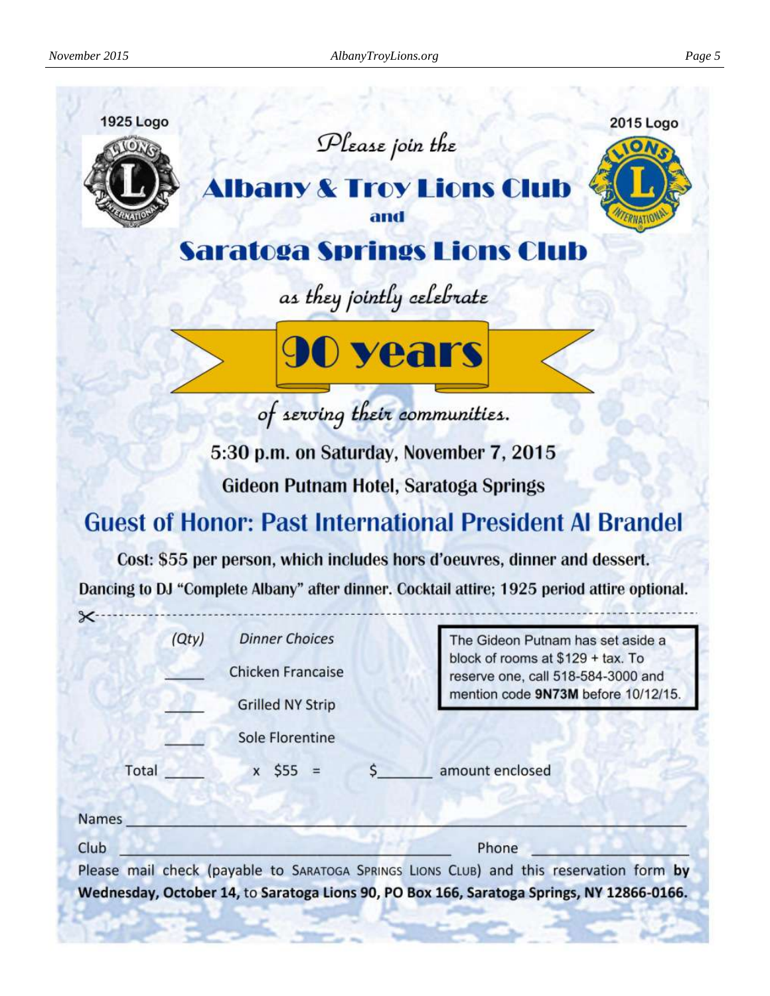